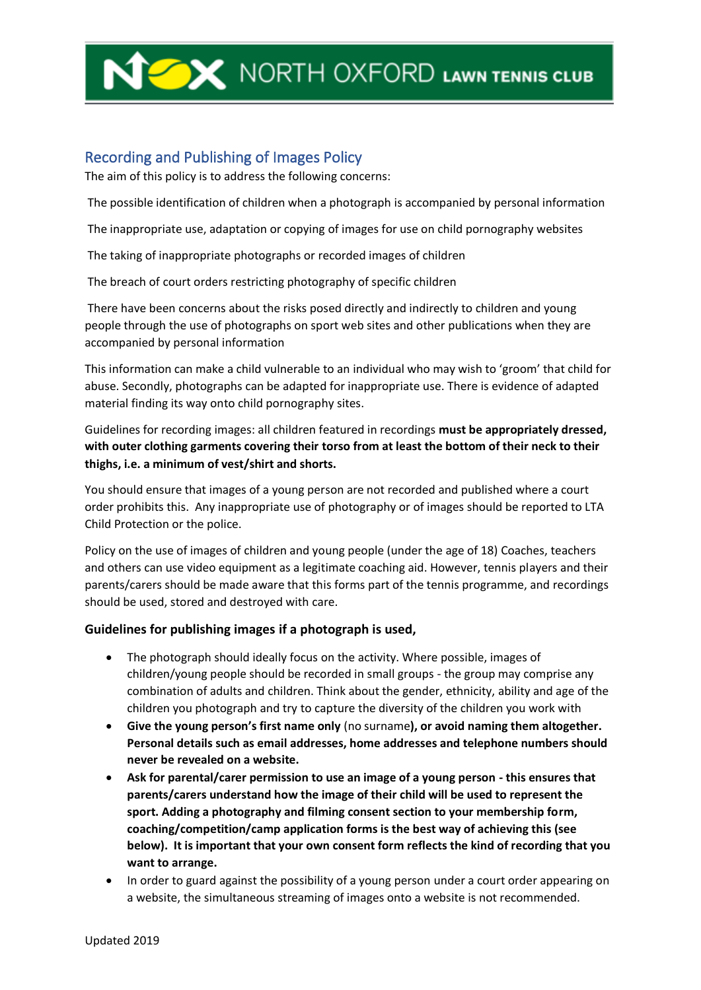NORTH OXFORD LAWN TENNIS CLUB

## Recording and Publishing of Images Policy

The aim of this policy is to address the following concerns:

The possible identification of children when a photograph is accompanied by personal information

The inappropriate use, adaptation or copying of images for use on child pornography websites

The taking of inappropriate photographs or recorded images of children

The breach of court orders restricting photography of specific children

There have been concerns about the risks posed directly and indirectly to children and young people through the use of photographs on sport web sites and other publications when they are accompanied by personal information

This information can make a child vulnerable to an individual who may wish to 'groom' that child for abuse. Secondly, photographs can be adapted for inappropriate use. There is evidence of adapted material finding its way onto child pornography sites.

Guidelines for recording images: all children featured in recordings **must be appropriately dressed, with outer clothing garments covering their torso from at least the bottom of their neck to their thighs, i.e. a minimum of vest/shirt and shorts.** 

You should ensure that images of a young person are not recorded and published where a court order prohibits this. Any inappropriate use of photography or of images should be reported to LTA Child Protection or the police.

Policy on the use of images of children and young people (under the age of 18) Coaches, teachers and others can use video equipment as a legitimate coaching aid. However, tennis players and their parents/carers should be made aware that this forms part of the tennis programme, and recordings should be used, stored and destroyed with care.

## **Guidelines for publishing images if a photograph is used,**

- The photograph should ideally focus on the activity. Where possible, images of children/young people should be recorded in small groups - the group may comprise any combination of adults and children. Think about the gender, ethnicity, ability and age of the children you photograph and try to capture the diversity of the children you work with
- **Give the young person's first name only** (no surname**), or avoid naming them altogether. Personal details such as email addresses, home addresses and telephone numbers should never be revealed on a website.**
- **Ask for parental/carer permission to use an image of a young person - this ensures that parents/carers understand how the image of their child will be used to represent the sport. Adding a photography and filming consent section to your membership form, coaching/competition/camp application forms is the best way of achieving this (see below). It is important that your own consent form reflects the kind of recording that you want to arrange.**
- In order to guard against the possibility of a young person under a court order appearing on a website, the simultaneous streaming of images onto a website is not recommended.